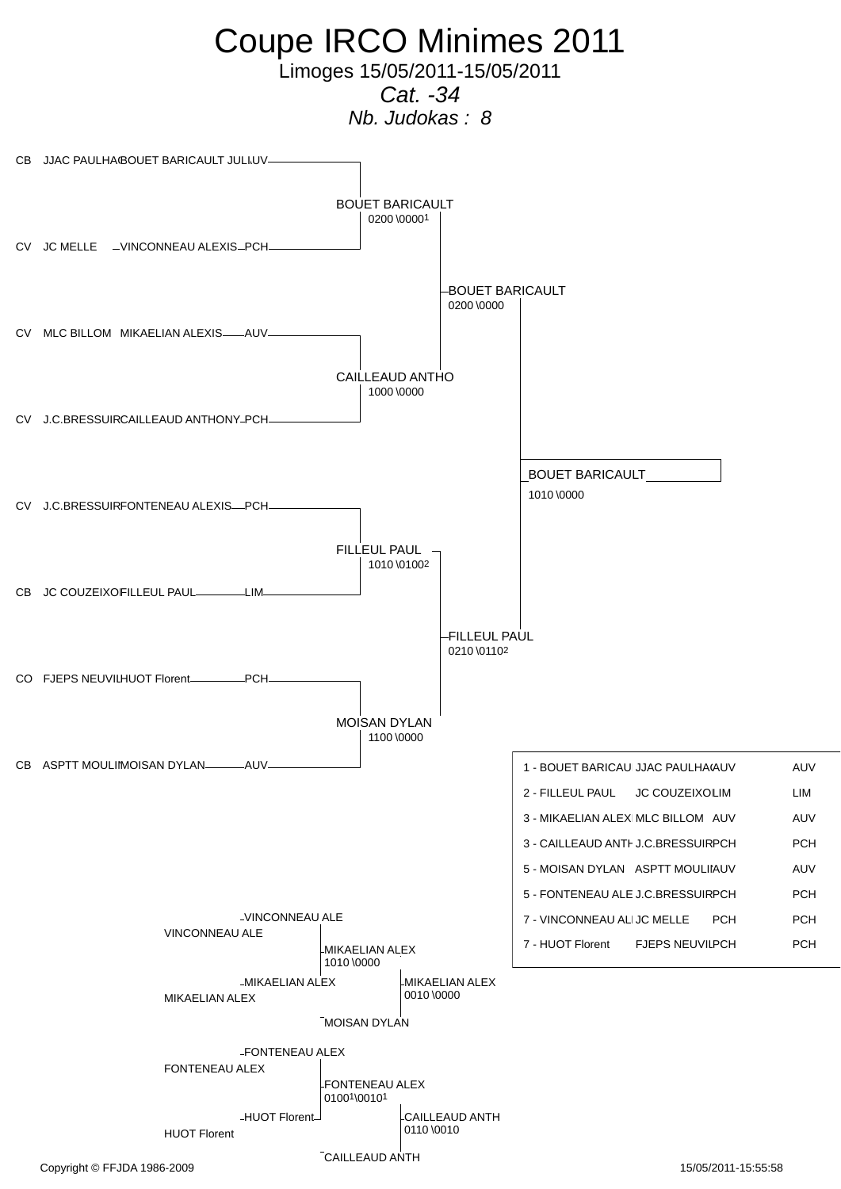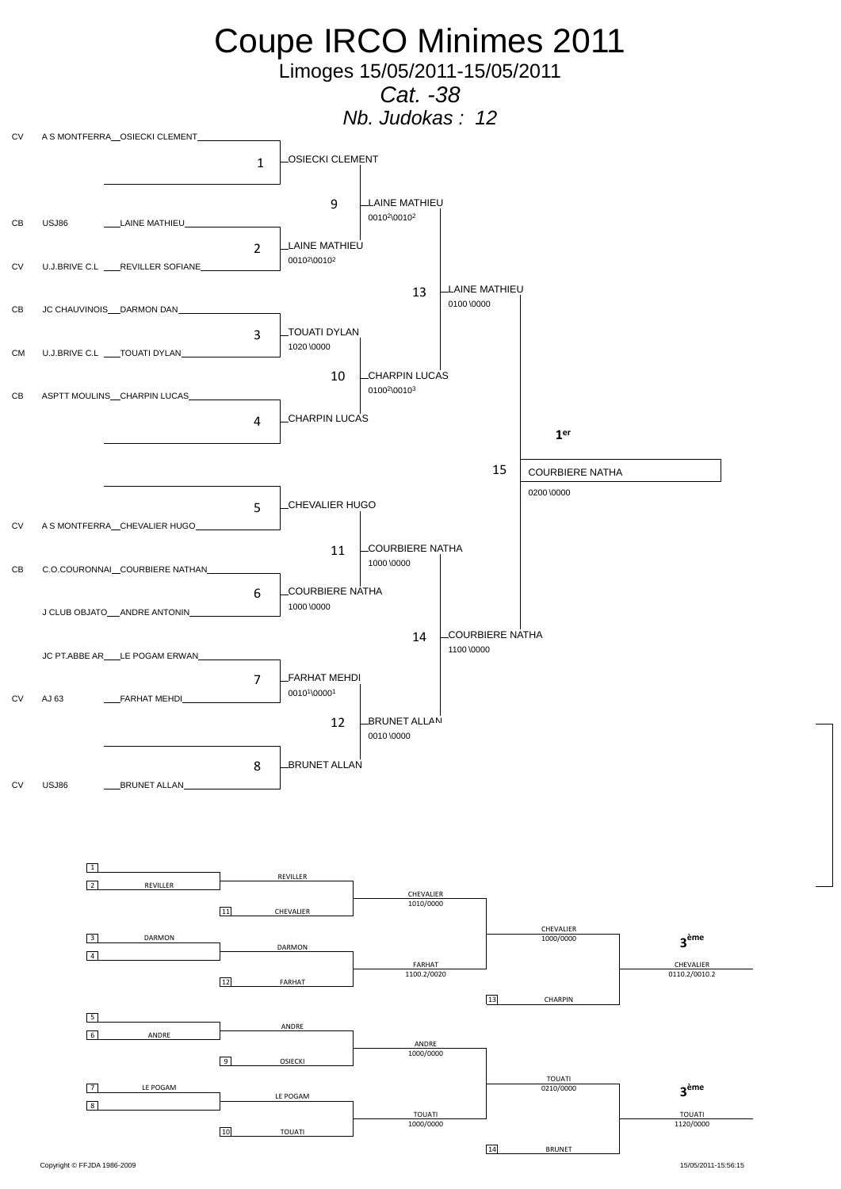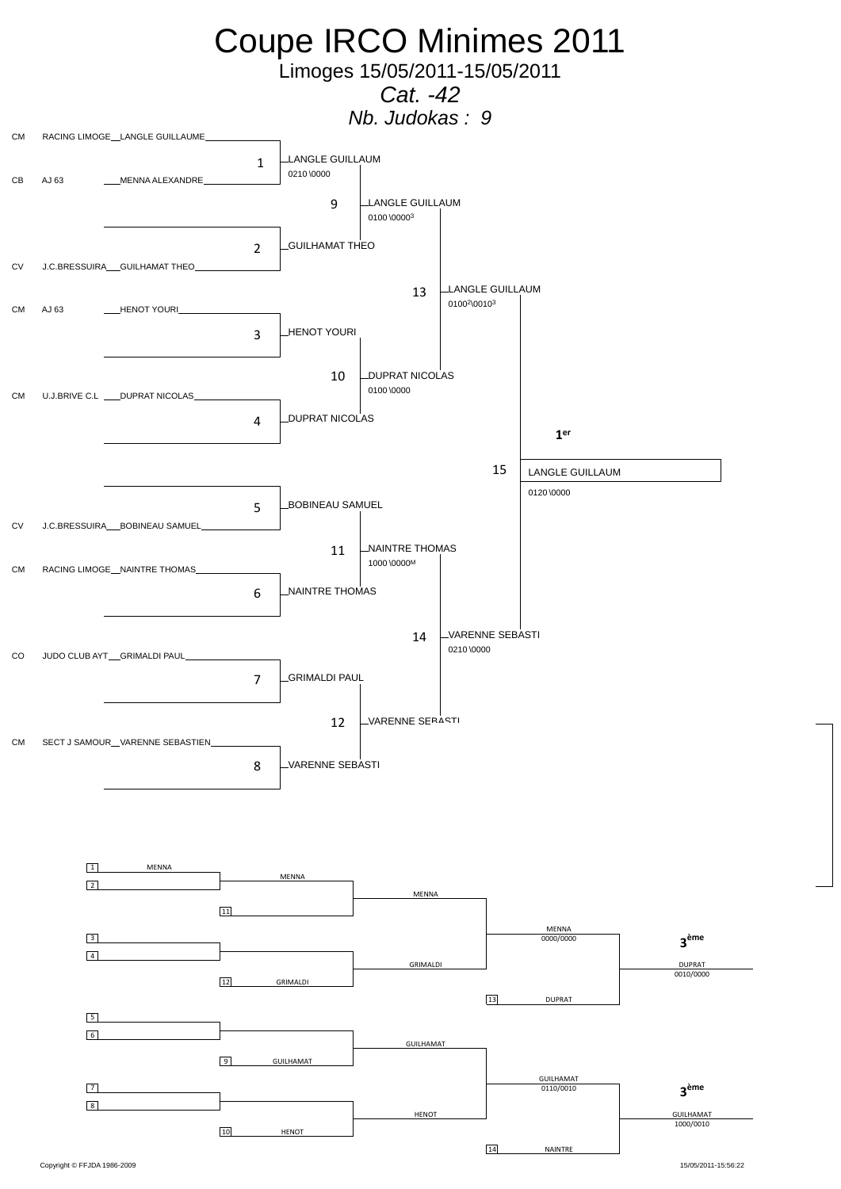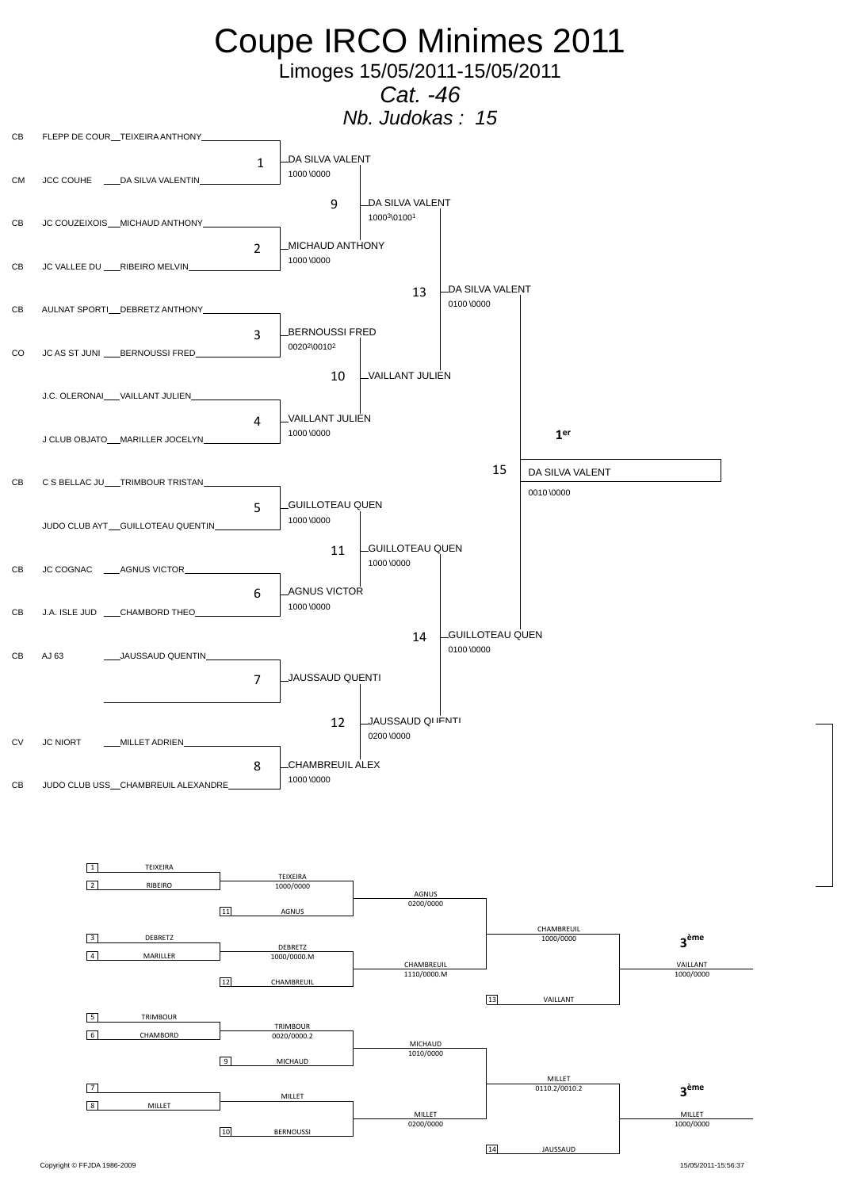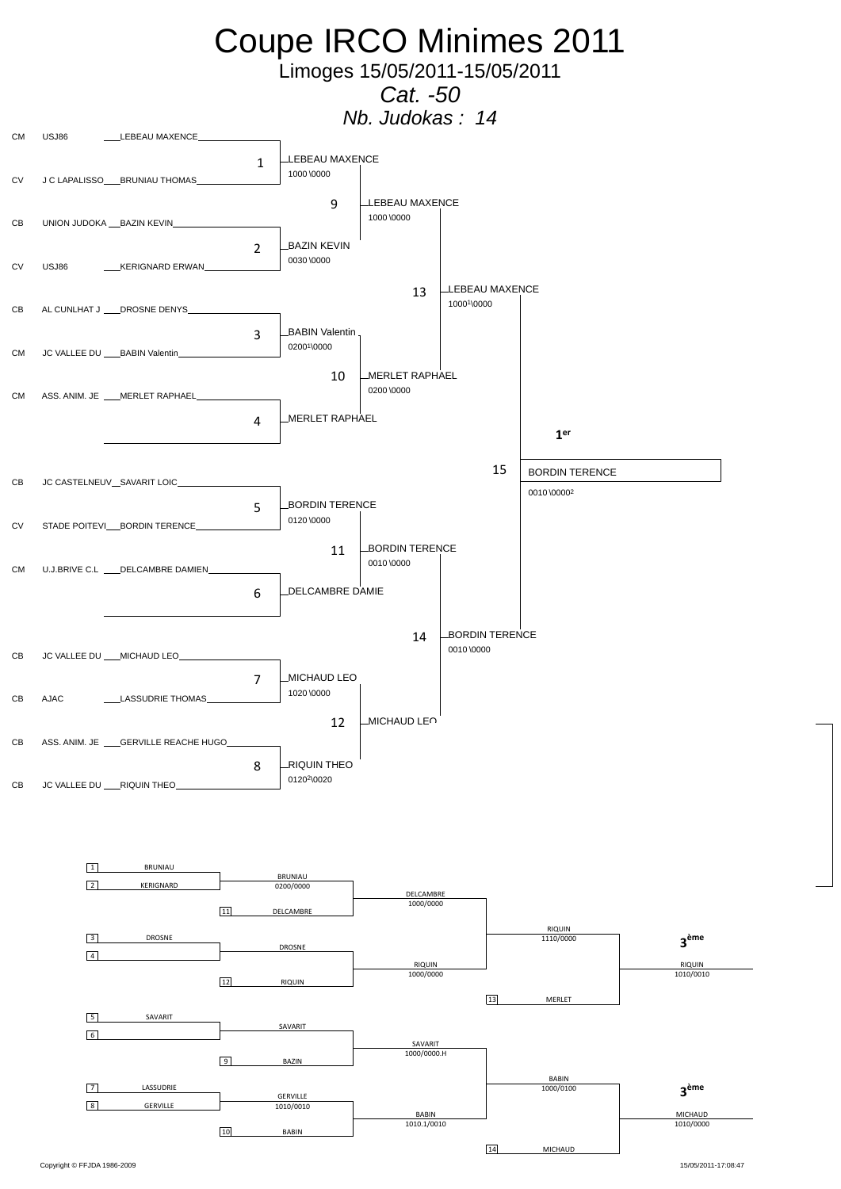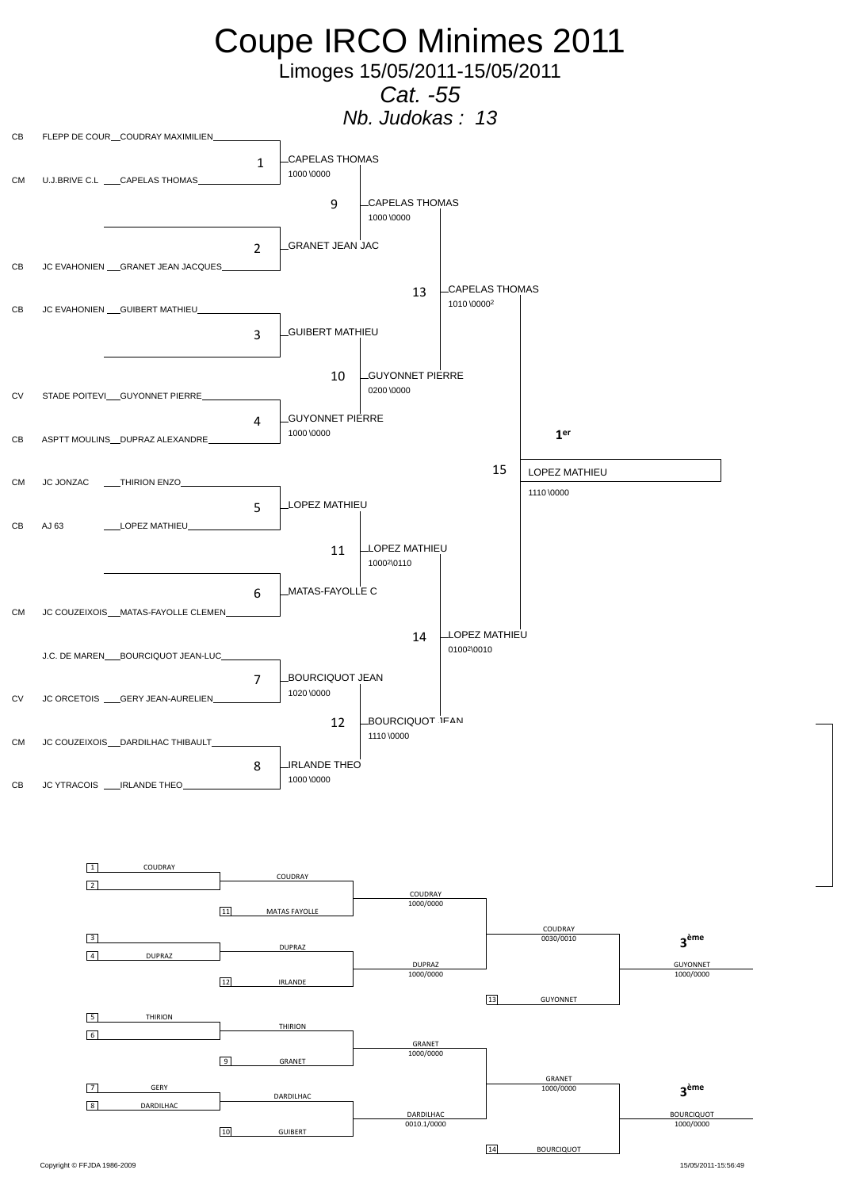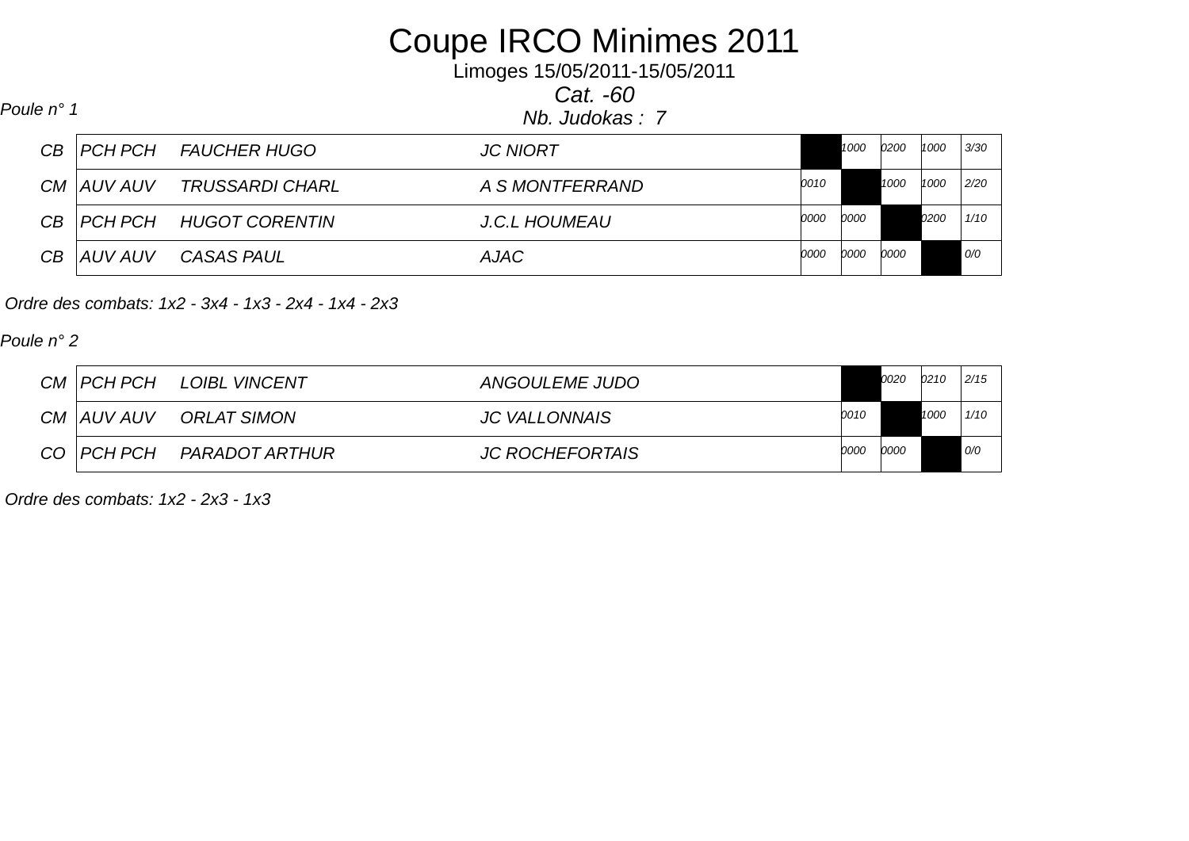## Coupe IRCO Minimes 2011

Limoges 15/05/2011-15/05/2011

*Cat. -60*

*Nb. Judokas : 7 Poule n° 1*

|              | CB   PCH PCH     FAUCHER HUGO | <b>JC NIORT</b>      |      | 1000        | 0200 | 1000 | 3/30 |
|--------------|-------------------------------|----------------------|------|-------------|------|------|------|
| CM   AUV AUV | <i>TRUSSARDI CHARL</i>        | A S MONTFERRAND      | 0010 |             | 1000 | 1000 | 2/20 |
|              |                               | <b>J.C.L HOUMEAU</b> | 0000 | 0000        |      | 0200 | 1/10 |
| CB   AUV AUV | <b>CASAS PAUL</b>             | AJAC                 | 0000 | <i>0000</i> | 0000 |      | 0    |

 *Ordre des combats: 1x2 - 3x4 - 1x3 - 2x4 - 1x4 - 2x3* 

*Poule n° 2*

|                 | CM   PCH PCH | <b>LOIBL VINCENT</b> | ANGOULEME JUDO         |       | 0020 | 0210 | 2/15 |
|-----------------|--------------|----------------------|------------------------|-------|------|------|------|
|                 | CM AUV AUV   | ORLAT SIMON          | <b>JC VALLONNAIS</b>   | 0010  |      | 1000 | 1/10 |
| CO <sub>1</sub> | PCH PCH      | PARADOT ARTHUR       | <b>JC ROCHEFORTAIS</b> | '0000 | 0000 |      | 0/0  |

 *Ordre des combats: 1x2 - 2x3 - 1x3*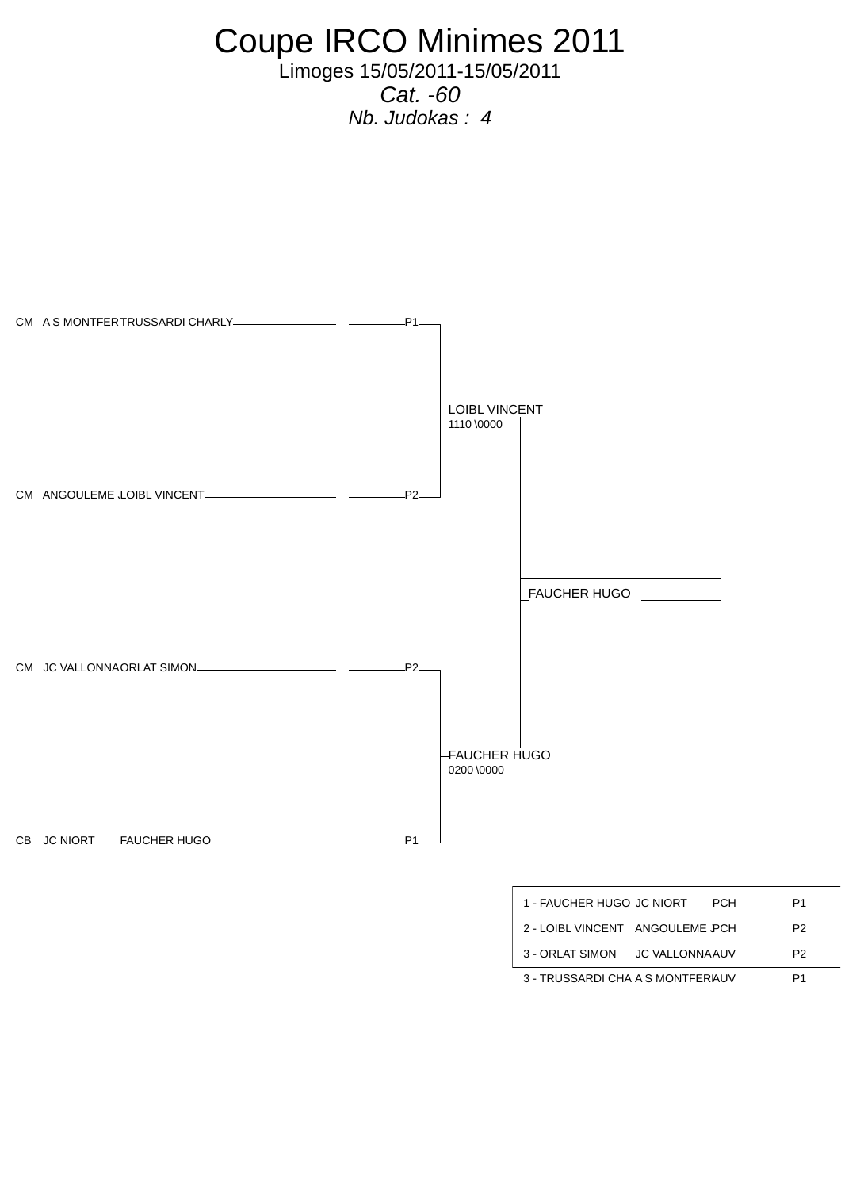Coupe IRCO Minimes 2011

Limoges 15/05/2011-15/05/2011 *Cat. -60 Nb. Judokas : 4* 



3 - TRUSSARDI CHA A S MONTFERAUV P1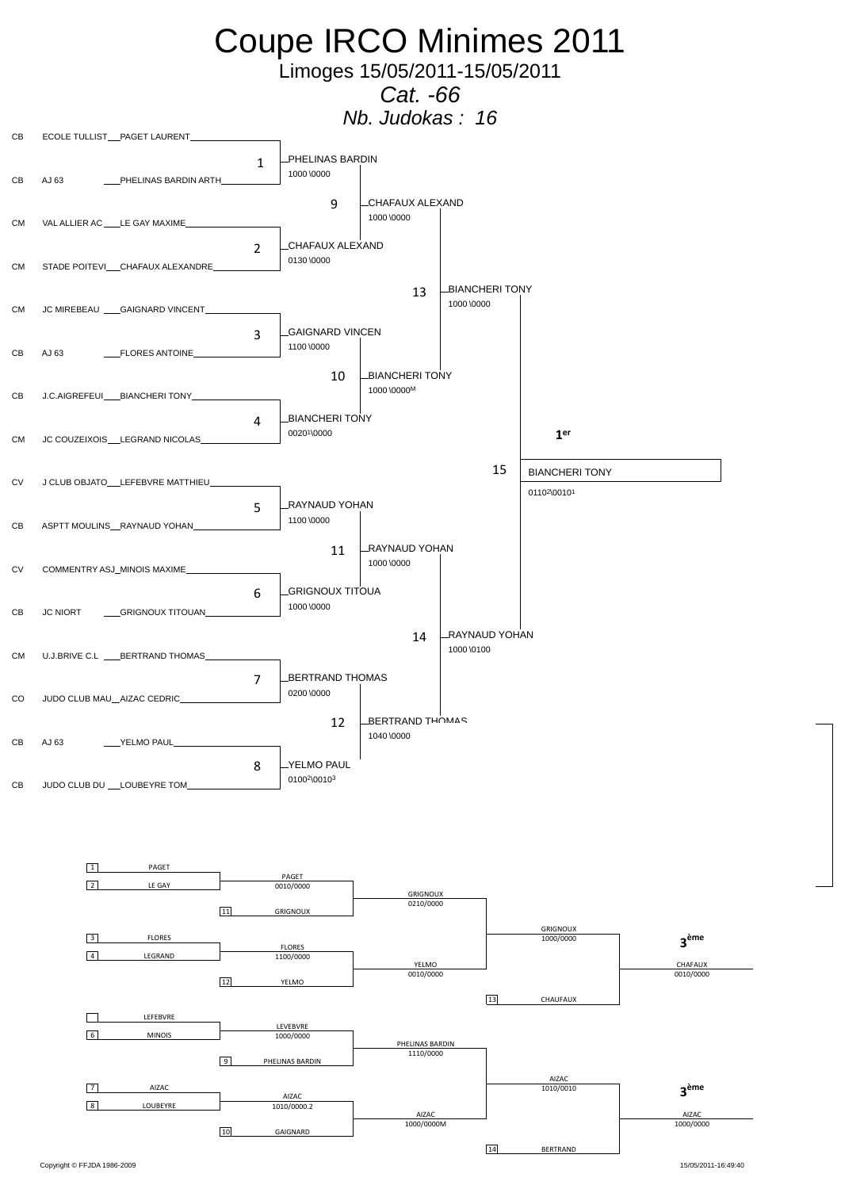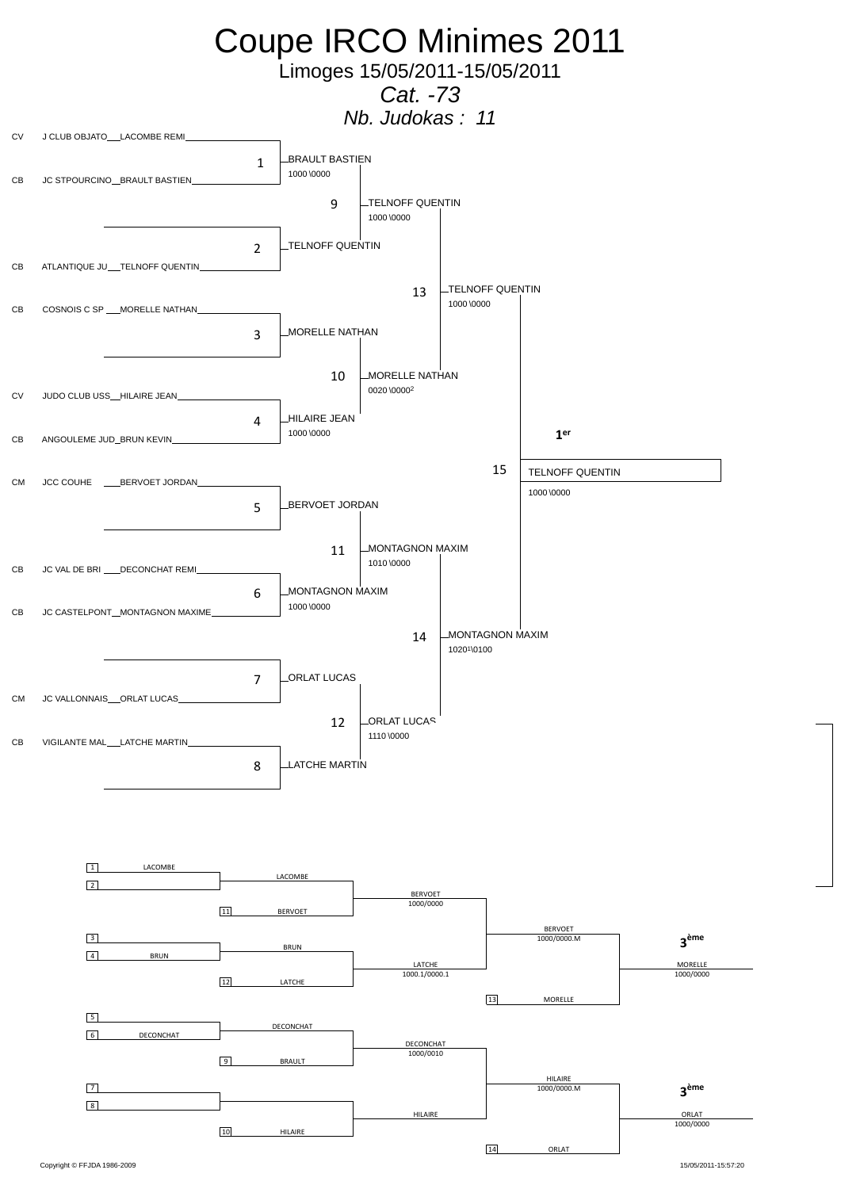